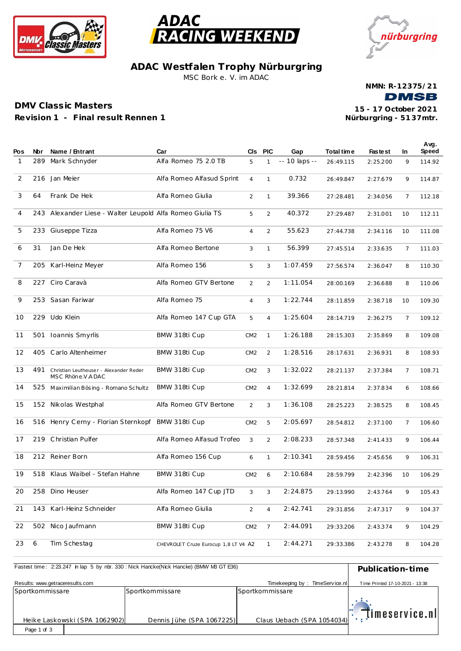



nürburgring

**ADAC Westfalen Trophy Nürburgring** MSC Bork e. V. im ADAC

**NMN: R-12375/21 DMSB** 

## **DMV Class ic Masters Revision 1 - F inal result Rennen 1**

**Nürburgring - 51 37mtr. 15 - 17 October 2021**

| Pos          | Nbr | Name / Entrant                                             | Car                                  | CIs.            | <b>PIC</b>     | Gap           | Total time | <b>Fastest</b> | In.            | Avg.<br>Speed |
|--------------|-----|------------------------------------------------------------|--------------------------------------|-----------------|----------------|---------------|------------|----------------|----------------|---------------|
| $\mathbf{1}$ | 289 | Mark Schnyder                                              | Alfa Romeo 75 2.0 TB                 | 5               | $\mathbf{1}$   | -- 10 laps -- | 26:49.115  | 2:25.200       | 9              | 114.92        |
| 2            | 216 | Jan Meier                                                  | Alfa Romeo Alfasud Sprint            | $\overline{4}$  | $\mathbf{1}$   | 0.732         | 26:49.847  | 2:27.679       | 9              | 114.87        |
| 3            | 64  | Frank De Hek                                               | Alfa Romeo Giulia                    | 2               | $\mathbf{1}$   | 39.366        | 27:28.481  | 2:34.056       | 7              | 112.18        |
| 4            | 243 | Alexander Liese - Walter Leupold Alfa Romeo Giulia TS      |                                      | 5               | 2              | 40.372        | 27:29.487  | 2:31.001       | 10             | 112.11        |
| 5            | 233 | Giuseppe Tizza                                             | Alfa Romeo 75 V6                     | $\overline{4}$  | 2              | 55.623        | 27:44.738  | 2:34.116       | 10             | 111.08        |
| 6            | 31  | Jan De Hek                                                 | Alfa Romeo Bertone                   | 3               | $\mathbf{1}$   | 56.399        | 27:45.514  | 2:33.635       | $\overline{7}$ | 111.03        |
| 7            | 205 | Karl-Heinz Meyer                                           | Alfa Romeo 156                       | 5               | 3              | 1:07.459      | 27:56.574  | 2:36.047       | 8              | 110.30        |
| 8            | 227 | Ciro Caravà                                                | Alfa Romeo GTV Bertone               | 2               | 2              | 1:11.054      | 28:00.169  | 2:36.688       | 8              | 110.06        |
| 9            |     | 253 Sasan Fariwar                                          | Alfa Romeo 75                        | $\overline{4}$  | 3              | 1:22.744      | 28:11.859  | 2:38.718       | 10             | 109.30        |
| 10           | 229 | Udo Klein                                                  | Alfa Romeo 147 Cup GTA               | 5               | $\overline{4}$ | 1:25.604      | 28:14.719  | 2:36.275       | $\overline{7}$ | 109.12        |
| 11           | 501 | Ioannis Smyrlis                                            | BMW 318ti Cup                        | CM2             | $\mathbf{1}$   | 1:26.188      | 28:15.303  | 2:35.869       | 8              | 109.08        |
| 12           | 405 | Carlo Altenheimer                                          | BMW 318ti Cup                        | CM2             | $\overline{2}$ | 1:28.516      | 28:17.631  | 2:36.931       | 8              | 108.93        |
| 13           | 491 | Christian Leutheuser - Alexander Reder<br>MSC Rhöne V ADAC | BMW 318ti Cup                        | CM2             | 3              | 1:32.022      | 28:21.137  | 2:37.384       | $\overline{7}$ | 108.71        |
| 14           | 525 | Maximilian Bösing - Romano Schultz                         | BMW 318ti Cup                        | CM2             | $\overline{4}$ | 1:32.699      | 28:21.814  | 2:37.834       | 6              | 108.66        |
| 15           | 152 | Nikolas Westphal                                           | Alfa Romeo GTV Bertone               | 2               | 3              | 1:36.108      | 28:25.223  | 2:38.525       | 8              | 108.45        |
| 16           |     | 516 Henry Cerny - Florian Sternkopf                        | BMW 318ti Cup                        | CM2             | 5              | 2:05.697      | 28:54.812  | 2:37.100       | $\overline{7}$ | 106.60        |
| 17           | 219 | Christian Pulfer                                           | Alfa Romeo Alfasud Trofeo            | 3               | $\overline{2}$ | 2:08.233      | 28:57.348  | 2:41.433       | 9              | 106.44        |
| 18           | 212 | Reiner Born                                                | Alfa Romeo 156 Cup                   | 6               | $\mathbf{1}$   | 2:10.341      | 28:59.456  | 2:45.656       | 9              | 106.31        |
| 19           | 518 | Klaus Waibel - Stefan Hahne                                | BMW 318ti Cup                        | CM2             | 6              | 2:10.684      | 28:59.799  | 2:42.396       | 10             | 106.29        |
| 20           |     | 258 Dino Heuser                                            | Alfa Romeo 147 Cup JTD               | 3               | 3              | 2:24.875      | 29:13.990  | 2:43.764       | 9              | 105.43        |
| 21           |     | 143 Karl-Heinz Schneider                                   | Alfa Romeo Giulia                    | $\overline{2}$  | $\overline{4}$ | 2:42.741      | 29:31.856  | 2:47.317       | 9              | 104.37        |
| 22           | 502 | Nico Jaufmann                                              | BMW 318ti Cup                        | CM <sub>2</sub> | $\overline{7}$ | 2:44.091      | 29:33.206  | 2:43.374       | 9              | 104.29        |
| 23           | 6   | Tim Schestag                                               | CHEVROLET Cruze Eurocup 1,8 LT V4 A2 |                 | 1              | 2:44.271      | 29:33.386  | 2:43.278       | 8              | 104.28        |

| Fastest time: 2:23.247 in lap 5 by nbr. 330 : Nick Hancke(Nick Hancke) (BMW M3 GT E36) | Publication-time                                  |                            |                            |  |
|----------------------------------------------------------------------------------------|---------------------------------------------------|----------------------------|----------------------------|--|
| Results: www.getraceresults.com                                                        | TimeService.nl<br>Time Printed 17-10-2021 - 13:38 |                            |                            |  |
| Sportkommissare                                                                        | Sportkommissare                                   | Sportkommissare            |                            |  |
| Heike Laskowski (SPA 1062902)                                                          | Dennis Jühe (SPA 1067225)                         | Claus Uebach (SPA 1054034) | $\mathbb{T}$ imeservice.nl |  |
| Page 1 of 3                                                                            |                                                   |                            |                            |  |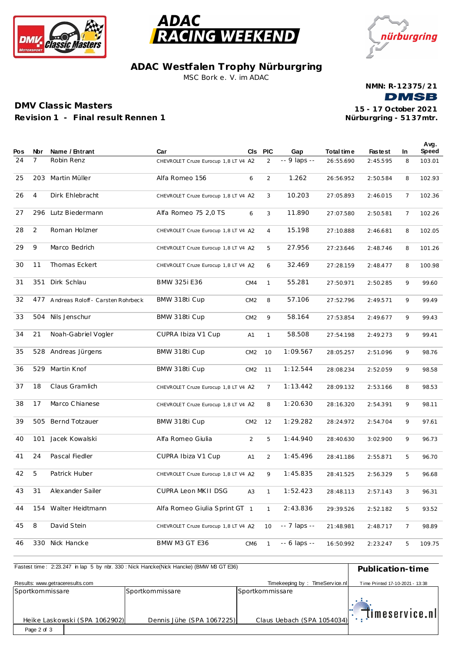



nürburgring

**ADAC Westfalen Trophy Nürburgring** MSC Bork e. V. im ADAC

**NMN: R-12375/21 DMSB** 

## **DMV Class ic Masters Revision 1 - F inal result Rennen 1**

**Nürburgring - 51 37mtr. 15 - 17 October 2021**

| Pos | Nbr | Name / Entrant                    | Car                                  |                 | CIS PIC        | Gap                | Total time | <b>Fastest</b> | In.            | Avg.<br>Speed |
|-----|-----|-----------------------------------|--------------------------------------|-----------------|----------------|--------------------|------------|----------------|----------------|---------------|
| 24  | 7   | Robin Renz                        | CHEVROLET Cruze Eurocup 1,8 LT V4 A2 |                 | $\overline{2}$ | -- 9 laps --       | 26:55.690  | 2:45.595       | 8              | 103.01        |
|     |     |                                   |                                      |                 |                |                    |            |                |                |               |
| 25  | 203 | Martin Müller                     | Alfa Romeo 156                       | 6               | 2              | 1.262              | 26:56.952  | 2:50.584       | 8              | 102.93        |
| 26  | 4   | Dirk Ehlebracht                   | CHEVROLET Cruze Eurocup 1,8 LT V4 A2 |                 | 3              | 10.203             | 27:05.893  | 2:46.015       | $\overline{7}$ | 102.36        |
|     |     |                                   |                                      |                 |                |                    |            |                |                |               |
| 27  | 296 | Lutz Biedermann                   | Alfa Romeo 75 2,0 TS                 | 6               | 3              | 11.890             | 27:07.580  | 2:50.581       | $\overline{7}$ | 102.26        |
| 28  | 2   | Roman Holzner                     | CHEVROLET Cruze Eurocup 1,8 LT V4 A2 |                 | $\overline{4}$ | 15.198             | 27:10.888  | 2:46.681       | 8              | 102.05        |
| 29  | 9   | Marco Bedrich                     |                                      |                 |                | 27.956             |            |                |                |               |
|     |     |                                   | CHEVROLET Cruze Eurocup 1,8 LT V4 A2 |                 | 5              |                    | 27:23.646  | 2:48.746       | 8              | 101.26        |
| 30  | 11  | Thomas Eckert                     | CHEVROLET Cruze Eurocup 1,8 LT V4 A2 |                 | 6              | 32.469             | 27:28.159  | 2:48.477       | 8              | 100.98        |
| 31  | 351 | Dirk Schlau                       | <b>BMW 325i E36</b>                  | CM4             | $\mathbf{1}$   | 55.281             | 27:50.971  | 2:50.285       | 9              | 99.60         |
|     |     |                                   |                                      |                 |                |                    |            |                |                |               |
| 32  | 477 | Andreas Roloff - Carsten Rohrbeck | BMW 318ti Cup                        | CM2             | 8              | 57.106             | 27:52.796  | 2:49.571       | 9              | 99.49         |
| 33  | 504 | Nils Jenschur                     | BMW 318ti Cup                        | CM2             | 9              | 58.164             | 27:53.854  | 2:49.677       | 9              | 99.43         |
|     |     |                                   |                                      |                 |                |                    |            |                |                |               |
| 34  | 21  | Noah-Gabriel Vogler               | CUPRA Ibiza V1 Cup                   | A1              | $\mathbf{1}$   | 58.508             | 27:54.198  | 2:49.273       | 9              | 99.41         |
| 35  | 528 | Andreas Jürgens                   | BMW 318ti Cup                        | CM2             | 10             | 1:09.567           | 28:05.257  | 2:51.096       | 9              | 98.76         |
|     |     |                                   |                                      |                 |                |                    |            |                |                |               |
| 36  | 529 | Martin Knof                       | BMW 318ti Cup                        | CM2             | 11             | 1:12.544           | 28:08.234  | 2:52.059       | 9              | 98.58         |
| 37  | 18  | Claus Gramlich                    | CHEVROLET Cruze Eurocup 1,8 LT V4 A2 |                 | $\overline{7}$ | 1:13.442           | 28:09.132  | 2:53.166       | 8              | 98.53         |
|     | 17  | Marco Chianese                    |                                      |                 |                | 1:20.630           |            |                |                |               |
| 38  |     |                                   | CHEVROLET Cruze Eurocup 1,8 LT V4 A2 |                 | 8              |                    | 28:16.320  | 2:54.391       | 9              | 98.11         |
| 39  | 505 | Bernd Totzauer                    | BMW 318ti Cup                        | CM2             | 12             | 1:29.282           | 28:24.972  | 2:54.704       | 9              | 97.61         |
| 40  | 101 | Jacek Kowalski                    | Alfa Romeo Giulia                    | 2               | 5              | 1:44.940           | 28:40.630  | 3:02.900       | 9              | 96.73         |
|     |     |                                   |                                      |                 |                |                    |            |                |                |               |
| 41  | 24  | Pascal Fiedler                    | CUPRA Ibiza V1 Cup                   | A1              | 2              | 1:45.496           | 28:41.186  | 2:55.871       | 5              | 96.70         |
| 42  | 5   | Patrick Huber                     | CHEVROLET Cruze Eurocup 1,8 LT V4 A2 |                 | 9              | 1:45.835           | 28:41.525  | 2:56.329       | 5              | 96.68         |
|     |     |                                   |                                      |                 |                |                    |            |                |                |               |
| 43  | 31  | Alexander Sailer                  | CUPRA Leon MKII DSG                  | A <sub>3</sub>  | $\mathbf{1}$   | 1:52.423           | 28:48.113  | 2:57.143       | 3              | 96.31         |
| 44  | 154 | Walter Heidtmann                  | Alfa Romeo Giulia Sprint GT 1        |                 | $\mathbf{1}$   | 2:43.836           | 29:39.526  | 2:52.182       | 5              | 93.52         |
|     |     |                                   |                                      |                 |                |                    |            |                |                |               |
| 45  | 8   | David Stein                       | CHEVROLET Cruze Eurocup 1,8 LT V4 A2 |                 | 10             | $- - 7$ laps $- -$ | 21:48.981  | 2:48.717       | 7              | 98.89         |
| 46  |     | 330 Nick Hancke                   | BMW M3 GT E36                        | CM <sub>6</sub> | $\mathbf{1}$   | -- 6 laps --       | 16:50.992  | 2:23.247       | 5              | 109.75        |

| Fastest time: 2:23.247 in lap 5 by nbr. 330: Nick Hancke(Nick Hancke) (BMW M3 GT E36) | Publication-time                                  |                            |                            |  |
|---------------------------------------------------------------------------------------|---------------------------------------------------|----------------------------|----------------------------|--|
| Results: www.getraceresults.com                                                       | TimeService.nl<br>Time Printed 17-10-2021 - 13:38 |                            |                            |  |
| Sportkommissare                                                                       | Sportkommissare                                   | Sportkommissare            |                            |  |
| Heike Laskowski (SPA 1062902)                                                         | Dennis Jühe (SPA 1067225)                         | Claus Uebach (SPA 1054034) | $\mathbb{T}$ imeservice.nl |  |
| Page 2 of 3                                                                           |                                                   |                            |                            |  |